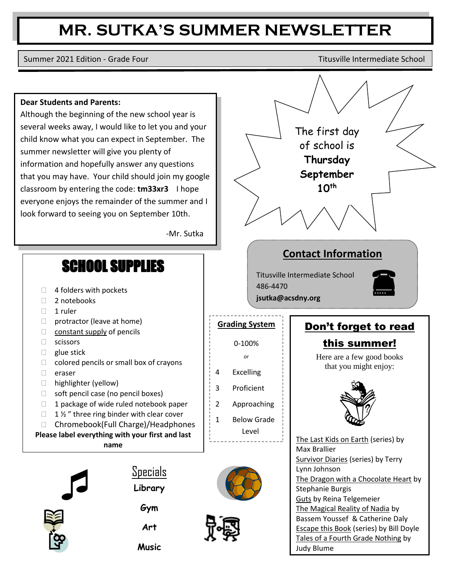## **MR. SUTKA'S SUMMER NEWSLETTER**

Summer 2021 Edition - Grade Four Titusville Intermediate School

## **Dear Students and Parents:**

Although the beginning of the new school year is several weeks away, I would like to let you and your child know what you can expect in September. The summer newsletter will give you plenty of information and hopefully answer any questions that you may have. Your child should join my google classroom by entering the code: **tm33xr3** I hope everyone enjoys the remainder of the summer and I look forward to seeing you on September 10th.

-Mr. Sutka

- □ 4 folders with pockets <mark> 486-4470</mark>
- $\Box$  2
- $\Box$  1 ruler
- $\Box$  protractor (leave at home)
- $\Box$  constant supply of pencils
- $\Box$  scissors
- $\Box$  glue stick
- $\Box$  colored pencils or small box of crayons
- eraser
- □ highlighter (yellow)
- $\Box$  soft pencil case (no pencil boxes)
- $\Box$  1 package of wide ruled notebook paper
- $\Box$  1 % " three ring binder with clear cover
- □ Chromebook(Full Charge)/Headphones

**Please label everything with your first and last name**



**Specials Library** 

**Gym** 

**Art** 









Guts by Reina Telgemeier The Magical Reality of Nadia by Bassem Youssef & Catherine Daly Escape this Book (series) by Bill Doyle Tales of a Fourth Grade Nothing by Judy Blume

Locomotion by Brian Floca